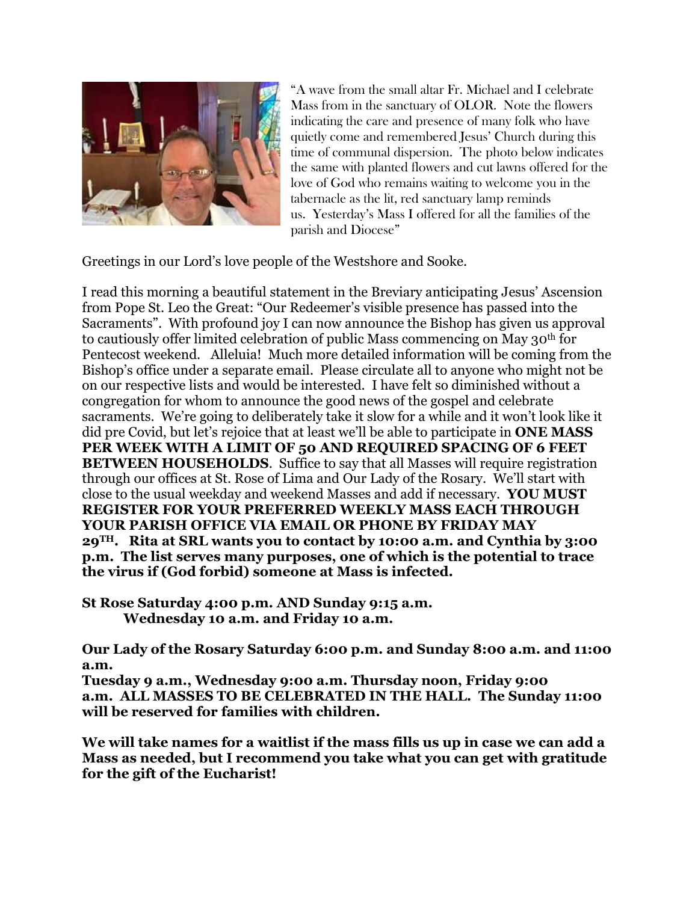

"A wave from the small altar Fr. Michael and I celebrate Mass from in the sanctuary of OLOR. Note the flowers indicating the care and presence of many folk who have quietly come and remembered Jesus' Church during this time of communal dispersion. The photo below indicates the same with planted flowers and cut lawns offered for the love of God who remains waiting to welcome you in the tabernacle as the lit, red sanctuary lamp reminds us. Yesterday's Mass I offered for all the families of the parish and Diocese"

Greetings in our Lord's love people of the Westshore and Sooke.

I read this morning a beautiful statement in the Breviary anticipating Jesus' Ascension from Pope St. Leo the Great: "Our Redeemer's visible presence has passed into the Sacraments". With profound joy I can now announce the Bishop has given us approval to cautiously offer limited celebration of public Mass commencing on May 30th for Pentecost weekend. Alleluia! Much more detailed information will be coming from the Bishop's office under a separate email. Please circulate all to anyone who might not be on our respective lists and would be interested. I have felt so diminished without a congregation for whom to announce the good news of the gospel and celebrate sacraments. We're going to deliberately take it slow for a while and it won't look like it did pre Covid, but let's rejoice that at least we'll be able to participate in **ONE MASS PER WEEK WITH A LIMIT OF 50 AND REQUIRED SPACING OF 6 FEET BETWEEN HOUSEHOLDS**. Suffice to say that all Masses will require registration through our offices at St. Rose of Lima and Our Lady of the Rosary. We'll start with close to the usual weekday and weekend Masses and add if necessary. **YOU MUST REGISTER FOR YOUR PREFERRED WEEKLY MASS EACH THROUGH YOUR PARISH OFFICE VIA EMAIL OR PHONE BY FRIDAY MAY 29TH. Rita at SRL wants you to contact by 10:00 a.m. and Cynthia by 3:00 p.m. The list serves many purposes, one of which is the potential to trace the virus if (God forbid) someone at Mass is infected.**

**St Rose Saturday 4:00 p.m. AND Sunday 9:15 a.m. Wednesday 10 a.m. and Friday 10 a.m.**

**Our Lady of the Rosary Saturday 6:00 p.m. and Sunday 8:00 a.m. and 11:00 a.m.**

**Tuesday 9 a.m., Wednesday 9:00 a.m. Thursday noon, Friday 9:00 a.m. ALL MASSES TO BE CELEBRATED IN THE HALL. The Sunday 11:00 will be reserved for families with children.**

**We will take names for a waitlist if the mass fills us up in case we can add a Mass as needed, but I recommend you take what you can get with gratitude for the gift of the Eucharist!**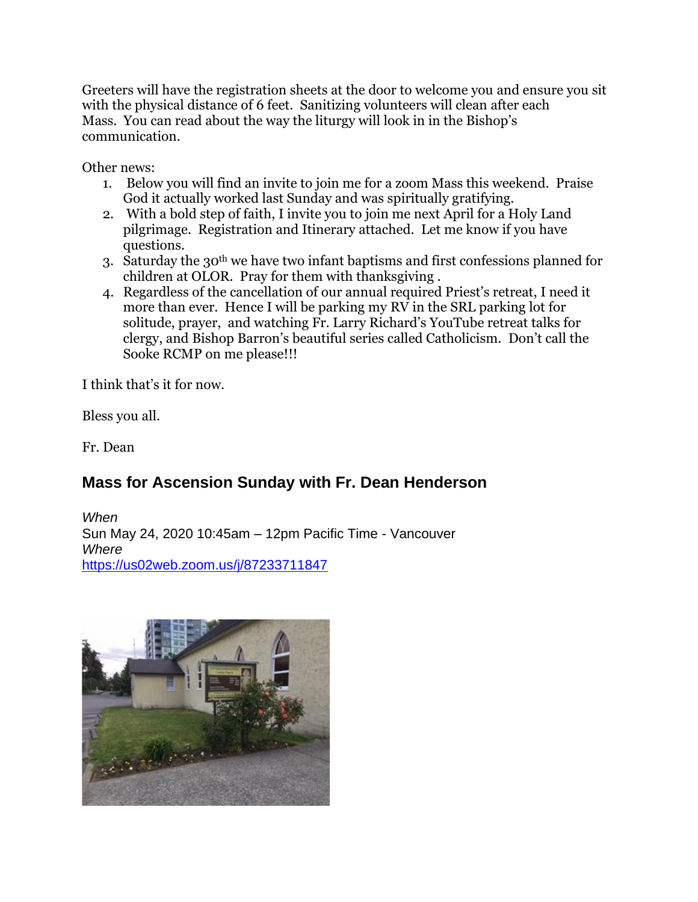Greeters will have the registration sheets at the door to welcome you and ensure you sit with the physical distance of 6 feet. Sanitizing volunteers will clean after each Mass. You can read about the way the liturgy will look in in the Bishop's communication.

Other news:

- 1. Below you will find an invite to join me for a zoom Mass this weekend. Praise God it actually worked last Sunday and was spiritually gratifying.
- 2. With a bold step of faith, I invite you to join me next April for a Holy Land pilgrimage. Registration and Itinerary attached. Let me know if you have questions.
- 3. Saturday the 30th we have two infant baptisms and first confessions planned for children at OLOR. Pray for them with thanksgiving .
- 4. Regardless of the cancellation of our annual required Priest's retreat, I need it more than ever. Hence I will be parking my RV in the SRL parking lot for solitude, prayer, and watching Fr. Larry Richard's YouTube retreat talks for clergy, and Bishop Barron's beautiful series called Catholicism. Don't call the Sooke RCMP on me please!!!

I think that's it for now.

Bless you all.

Fr. Dean

## **Mass for Ascension Sunday with Fr. Dean Henderson**

*When* Sun May 24, 2020 10:45am – 12pm Pacific Time - Vancouver *Where* <https://us02web.zoom.us/j/87233711847>